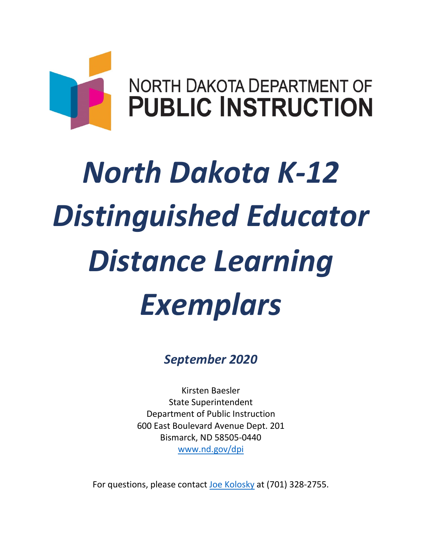

# *Distinguished Educator Distance Learning North Dakota K-12 Exemplars*

*September 2020* 

Kirsten Baesler State Superintendent Department of Public Instruction 600 East Boulevard Avenue Dept. 201 Bismarck, ND 58505-0440 [www.nd.gov/dpi](http://www.nd.gov/dpi) 

For questions, please contact [Joe Kolosky](mailto:dpischoolapproval@nd.gov) at (701) 328-2755.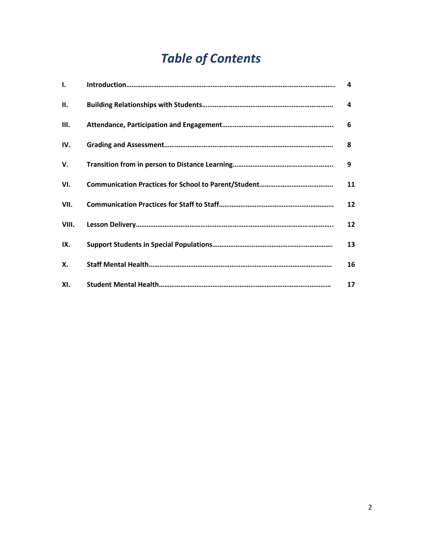# *Table of Contents*

| 1.    | 4  |
|-------|----|
| П.    | 4  |
| III.  | 6  |
| IV.   | 8  |
| v.    | 9  |
| VI.   | 11 |
| VII.  | 12 |
| VIII. | 12 |
| IX.   | 13 |
| X.    | 16 |
| XI.   | 17 |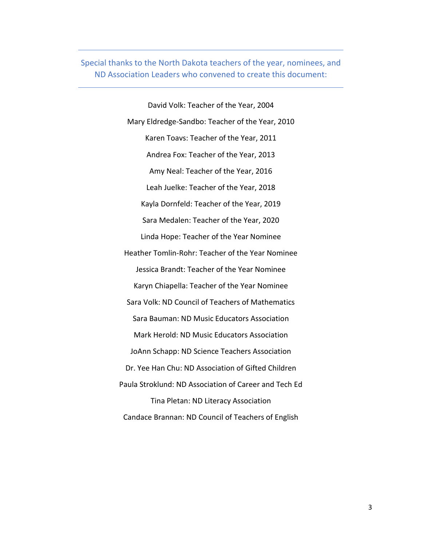Special thanks to the North Dakota teachers of the year, nominees, and ND Association Leaders who convened to create this document:

> Linda Hope: Teacher of the Year Nominee Heather Tomlin-Rohr: Teacher of the Year Nominee Jessica Brandt: Teacher of the Year Nominee Karyn Chiapella: Teacher of the Year Nominee Tina Pletan: ND Literacy Association David Volk: Teacher of the Year, 2004 Sara Volk: ND Council of Teachers of Mathematics Sara Bauman: ND Music Educators Association Mark Herold: ND Music Educators Association JoAnn Schapp: ND Science Teachers Association Paula Stroklund: ND Association of Career and Tech Ed Candace Brannan: ND Council of Teachers of English Mary Eldredge-Sandbo: Teacher of the Year, 2010 Karen Toavs: Teacher of the Year, 2011 Andrea Fox: Teacher of the Year, 2013 Amy Neal: Teacher of the Year, 2016 Leah Juelke: Teacher of the Year, 2018 Kayla Dornfeld: Teacher of the Year, 2019 Sara Medalen: Teacher of the Year, 2020 Dr. Yee Han Chu: ND Association of Gifted Children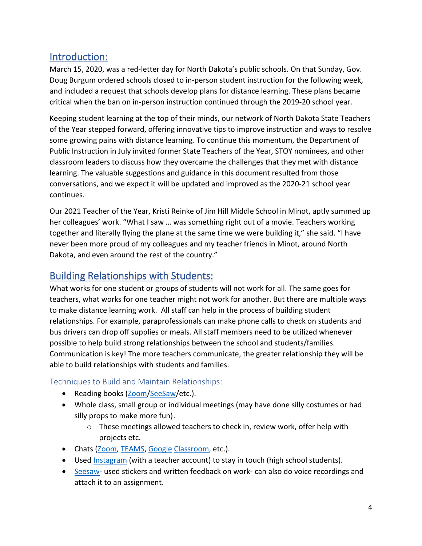# Introduction:

 Doug Burgum ordered schools closed to in-person student instruction for the following week, critical when the ban on in-person instruction continued through the 2019-20 school year. March 15, 2020, was a red-letter day for North Dakota's public schools. On that Sunday, Gov. and included a request that schools develop plans for distance learning. These plans became

 Keeping student learning at the top of their minds, our network of North Dakota State Teachers Public Instruction in July invited former State Teachers of the Year, STOY nominees, and other of the Year stepped forward, offering innovative tips to improve instruction and ways to resolve some growing pains with distance learning. To continue this momentum, the Department of classroom leaders to discuss how they overcame the challenges that they met with distance learning. The valuable suggestions and guidance in this document resulted from those conversations, and we expect it will be updated and improved as the 2020-21 school year continues.

 Our 2021 Teacher of the Year, Kristi Reinke of Jim Hill Middle School in Minot, aptly summed up her colleagues' work. "What I saw … was something right out of a movie. Teachers working together and literally flying the plane at the same time we were building it," she said. "I have never been more proud of my colleagues and my teacher friends in Minot, around North Dakota, and even around the rest of the country."

# Building Relationships with Students:

 What works for one student or groups of students will not work for all. The same goes for teachers, what works for one teacher might not work for another. But there are multiple ways to make distance learning work. All staff can help in the process of building student relationships. For example, paraprofessionals can make phone calls to check on students and bus drivers can drop off supplies or meals. All staff members need to be utilized whenever possible to help build strong relationships between the school and students/families. Communication is key! The more teachers communicate, the greater relationship they will be able to build relationships with students and families.

# Techniques to Build and Maintain Relationships:

- Reading books [\(Zoom/](https://zoom.us/)[SeeSaw/](https://web.seesaw.me/)etc.).
- silly props to make more fun). • Whole class, small group or individual meetings (may have done silly costumes or had
	- $\circ$  These meetings allowed teachers to check in, review work, offer help with projects etc.
- Chats [\(Zoom,](https://zoom.us/) [TEAMS,](https://teams.microsoft.com/uswe-01/downloads) [Google Classroom,](https://accounts.google.com/ServiceLogin/identifier?service=classroom&passive=1209600&continue=https%3A%2F%2Fclassroom.google.com%2F&followup=https%3A%2F%2Fclassroom.google.com%2F&emr=1&flowName=GlifWebSignIn&flowEntry=AddSession) etc.).
- Used [Instagram](https://www.instagram.com/) (with a teacher account) to stay in touch (high school students).
- [Seesaw-](https://web.seesaw.me/) used stickers and written feedback on work- can also do voice recordings and attach it to an assignment.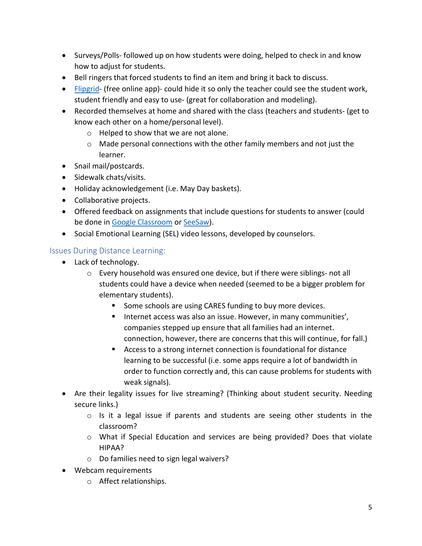- • Surveys/Polls- followed up on how students were doing, helped to check in and know how to adjust for students.
- Bell ringers that forced students to find an item and bring it back to discuss.
- [Flipgrid-](https://info.flipgrid.com/) (free online app)- could hide it so only the teacher could see the student work, student friendly and easy to use- (great for collaboration and modeling).
- • Recorded themselves at home and shared with the class (teachers and students- (get to know each other on a home/personal level).
	- o Helped to show that we are not alone.
	- $\circ$  Made personal connections with the other family members and not just the learner.
- Snail mail/postcards.
- Sidewalk chats/visits.
- Holiday acknowledgement (i.e. May Day baskets).
- Collaborative projects.
- be done in [Google Classroom](https://accounts.google.com/ServiceLogin/identifier?service=classroom&passive=1209600&continue=https%3A%2F%2Fclassroom.google.com%2F&followup=https%3A%2F%2Fclassroom.google.com%2F&emr=1&flowName=GlifWebSignIn&flowEntry=AddSession) or [SeeSaw\)](https://web.seesaw.me/). • Offered feedback on assignments that include questions for students to answer (could
- Social Emotional Learning (SEL) video lessons, developed by counselors.

### Issues During Distance Learning:

- Lack of technology.
	- o Every household was ensured one device, but if there were siblings- not all students could have a device when needed (seemed to be a bigger problem for elementary students).
		- Some schools are using CARES funding to buy more devices.
		- companies stepped up ensure that all families had an internet. **Internet access was also an issue. However, in many communities',** connection, however, there are concerns that this will continue, for fall.)
		- **Access to a strong internet connection is foundational for distance**  order to function correctly and, this can cause problems for students with learning to be successful (i.e. some apps require a lot of bandwidth in weak signals).
- Are their legality issues for live streaming? (Thinking about student security. Needing secure links.)
	- $\circ$  Is it a legal issue if parents and students are seeing other students in the classroom?
	- o What if Special Education and services are being provided? Does that violate HIPAA?
	- o Do families need to sign legal waivers?
- Webcam requirements
	- o Affect relationships. <sup>o</sup> Affect relationships. 5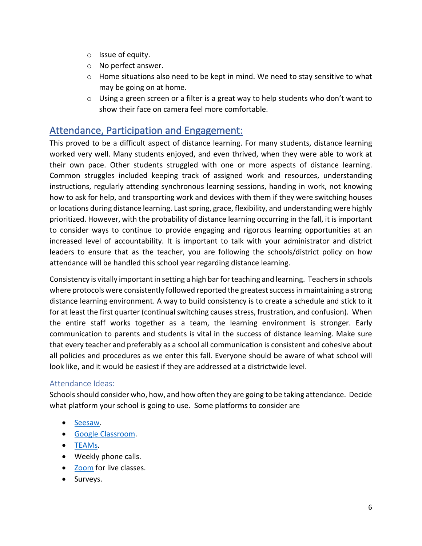- o Issue of equity.
- o No perfect answer.
- $\circ$  Home situations also need to be kept in mind. We need to stay sensitive to what may be going on at home.
- $\circ$  Using a green screen or a filter is a great way to help students who don't want to show their face on camera feel more comfortable.

# Attendance, Participation and Engagement:

 their own pace. Other students struggled with one or more aspects of distance learning. how to ask for help, and transporting work and devices with them if they were switching houses prioritized. However, with the probability of distance learning occurring in the fall, it is important leaders to ensure that as the teacher, you are following the schools/district policy on how attendance will be handled this school year regarding distance learning. This proved to be a difficult aspect of distance learning. For many students, distance learning worked very well. Many students enjoyed, and even thrived, when they were able to work at Common struggles included keeping track of assigned work and resources, understanding instructions, regularly attending synchronous learning sessions, handing in work, not knowing or locations during distance learning. Last spring, grace, flexibility, and understanding were highly to consider ways to continue to provide engaging and rigorous learning opportunities at an increased level of accountability. It is important to talk with your administrator and district

 Consistency is vitally important in setting a high bar for teaching and learning. Teachers in schools distance learning environment. A way to build consistency is to create a schedule and stick to it for at least the first quarter (continual switching causes stress, frustration, and confusion). When the entire staff works together as a team, the learning environment is stronger. Early communication to parents and students is vital in the success of distance learning. Make sure look like, and it would be easiest if they are addressed at a districtwide level. where protocols were consistently followed reported the greatest success in maintaining a strong that every teacher and preferably as a school all communication is consistent and cohesive about all policies and procedures as we enter this fall. Everyone should be aware of what school will

# Attendance Ideas:

 Schools should consider who, how, and how often they are going to be taking attendance. Decide what platform your school is going to use. Some platforms to consider are

- [Seesaw.](https://web.seesaw.me/)
- [Google Classroom.](https://accounts.google.com/ServiceLogin/identifier?service=classroom&passive=1209600&continue=https%3A%2F%2Fclassroom.google.com%2F&followup=https%3A%2F%2Fclassroom.google.com%2F&emr=1&flowName=GlifWebSignIn&flowEntry=AddSession)
- [TEAMs.](https://teams.microsoft.com/uswe-01/downloads)
- Weekly phone calls.
- **Zoom** for live classes.
- Surveys.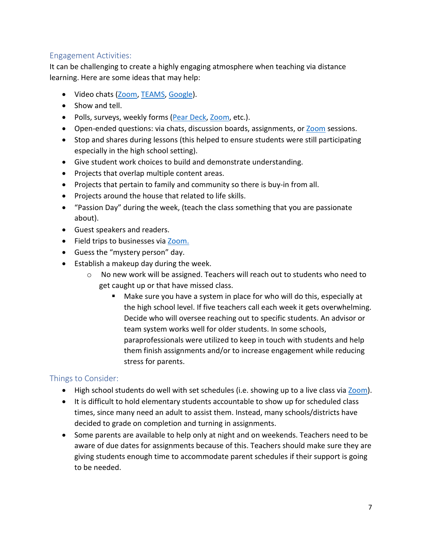# Engagement Activities:

 It can be challenging to create a highly engaging atmosphere when teaching via distance learning. Here are some ideas that may help:

- Video chats [\(Zoom,](https://zoom.us/) [TEAMS,](https://teams.microsoft.com/uswe-01/downloads) [Google\)](https://accounts.google.com/ServiceLogin/identifier?service=classroom&passive=1209600&continue=https%3A%2F%2Fclassroom.google.com%2F&followup=https%3A%2F%2Fclassroom.google.com%2F&emr=1&flowName=GlifWebSignIn&flowEntry=AddSession).
- Show and tell.
- Polls, surveys, weekly forms [\(Pear Deck,](https://www.peardeck.com/microsoft) [Zoom,](https://zoom.us/) etc.).
- Open-ended questions: via chats, discussion boards, assignments, or **Zoom** sessions.
- • Stop and shares during lessons (this helped to ensure students were still participating especially in the high school setting).
- Give student work choices to build and demonstrate understanding.
- Projects that overlap multiple content areas.
- Projects that pertain to family and community so there is buy-in from all.
- Projects around the house that related to life skills.
- • "Passion Day" during the week, (teach the class something that you are passionate about).
- Guest speakers and readers.
- Field trips to businesses via [Zoom.](https://zoom.us/)
- Guess the "mystery person" day.
- • Establish a makeup day during the week.
	- $\circ$  No new work will be assigned. Teachers will reach out to students who need to get caught up or that have missed class.
		- the high school level. If five teachers call each week it gets overwhelming. Decide who will oversee reaching out to specific students. An advisor or paraprofessionals were utilized to keep in touch with students and help them finish assignments and/or to increase engagement while reducing Make sure you have a system in place for who will do this, especially at team system works well for older students. In some schools, stress for parents.

# Things to Consider:

- High school students do well with set schedules (i.e. showing up to a live class via [Zoom\)](https://zoom.us/).
- times, since many need an adult to assist them. Instead, many schools/districts have decided to grade on completion and turning in assignments. • It is difficult to hold elementary students accountable to show up for scheduled class
- • Some parents are available to help only at night and on weekends. Teachers need to be aware of due dates for assignments because of this. Teachers should make sure they are giving students enough time to accommodate parent schedules if their support is going to be needed.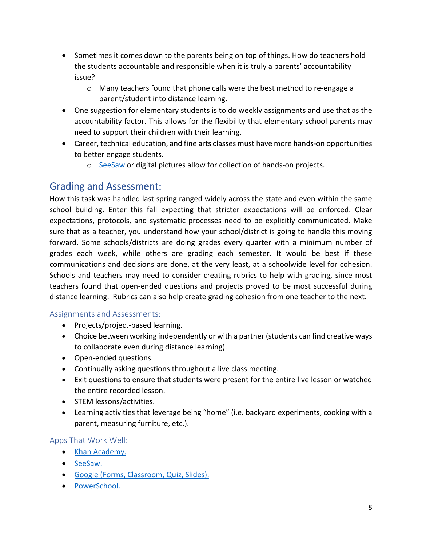- • Sometimes it comes down to the parents being on top of things. How do teachers hold the students accountable and responsible when it is truly a parents' accountability issue?
	- $\circ$  Many teachers found that phone calls were the best method to re-engage a parent/student into distance learning.
- • One suggestion for elementary students is to do weekly assignments and use that as the accountability factor. This allows for the flexibility that elementary school parents may need to support their children with their learning.
- Career, technical education, and fine arts classes must have more hands-on opportunities to better engage students.
	- o [SeeSaw](https://web.seesaw.me/) or digital pictures allow for collection of hands-on projects.

# Grading and Assessment:

 sure that as a teacher, you understand how your school/district is going to handle this moving forward. Some schools/districts are doing grades every quarter with a minimum number of grades each week, while others are grading each semester. It would be best if these communications and decisions are done, at the very least, at a schoolwide level for cohesion. distance learning. Rubrics can also help create grading cohesion from one teacher to the next. How this task was handled last spring ranged widely across the state and even within the same school building. Enter this fall expecting that stricter expectations will be enforced. Clear expectations, protocols, and systematic processes need to be explicitly communicated. Make Schools and teachers may need to consider creating rubrics to help with grading, since most teachers found that open-ended questions and projects proved to be most successful during

# Assignments and Assessments:

- Projects/project-based learning.
- • Choice between working independently or with a partner (students can find creative ways to collaborate even during distance learning).
- Open-ended questions.
- Continually asking questions throughout a live class meeting.
- • Exit questions to ensure that students were present for the entire live lesson or watched the entire recorded lesson.
- STEM lessons/activities.
- • Learning activities that leverage being "home" (i.e. backyard experiments, cooking with a parent, measuring furniture, etc.).

# Apps That Work Well:

- [Khan Academy.](https://www.khanacademy.org/)
- [SeeSaw.](https://web.seesaw.me/)
- [Google \(Forms, Classroom, Quiz, Slides\).](https://accounts.google.com/ServiceLogin/identifier?service=classroom&passive=1209600&continue=https%3A%2F%2Fclassroom.google.com%2F&followup=https%3A%2F%2Fclassroom.google.com%2F&emr=1&flowName=GlifWebSignIn&flowEntry=AddSession)
- [PowerSchool.](https://www.powerschool.com/)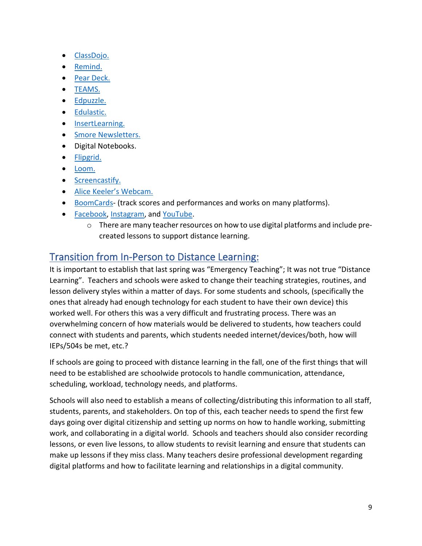- [ClassDojo.](https://www.classdojo.com/)
- [Remind.](https://www.remind.com/)
- [Pear Deck.](https://www.peardeck.com/microsoft)
- [TEAMS.](https://teams.microsoft.com/uswe-01/downloads)
- [Edpuzzle.](https://edpuzzle.com/)
- [Edulastic.](https://edulastic.com/)
- [InsertLearning.](https://insertlearning.com/)
- [Smore Newsletters.](https://www.smore.com/)
- Digital Notebooks.
- [Flipgrid.](https://info.flipgrid.com/)
- [Loom.](https://www.loom.com/)
- [Screencastify.](https://www.screencastify.com/)
- [Alice Keeler's Webcam.](https://chrome.google.com/webstore/detail/alice-keeler-webcam-recor/ljkchdmiefjpclcpniabljokcaedooaa)
- [BoomCards-](https://wow.boomlearning.com/) (track scores and performances and works on many platforms).
- [Facebook,](https://www.facebook.com/) [Instagram,](https://www.instagram.com/) and [YouTube.](https://www.youtube.com/)
	- $\circ$  There are many teacher resources on how to use digital platforms and include precreated lessons to support distance learning.

# Transition from In-Person to Distance Learning:

 It is important to establish that last spring was "Emergency Teaching"; It was not true "Distance Learning". Teachers and schools were asked to change their teaching strategies, routines, and lesson delivery styles within a matter of days. For some students and schools, (specifically the worked well. For others this was a very difficult and frustrating process. There was an overwhelming concern of how materials would be delivered to students, how teachers could ones that already had enough technology for each student to have their own device) this connect with students and parents, which students needed internet/devices/both, how will IEPs/504s be met, etc.?

 need to be established are schoolwide protocols to handle communication, attendance, If schools are going to proceed with distance learning in the fall, one of the first things that will scheduling, workload, technology needs, and platforms.

 students, parents, and stakeholders. On top of this, each teacher needs to spend the first few days going over digital citizenship and setting up norms on how to handle working, submitting work, and collaborating in a digital world. Schools and teachers should also consider recording lessons, or even live lessons, to allow students to revisit learning and ensure that students can make up lessons if they miss class. Many teachers desire professional development regarding Schools will also need to establish a means of collecting/distributing this information to all staff, digital platforms and how to facilitate learning and relationships in a digital community.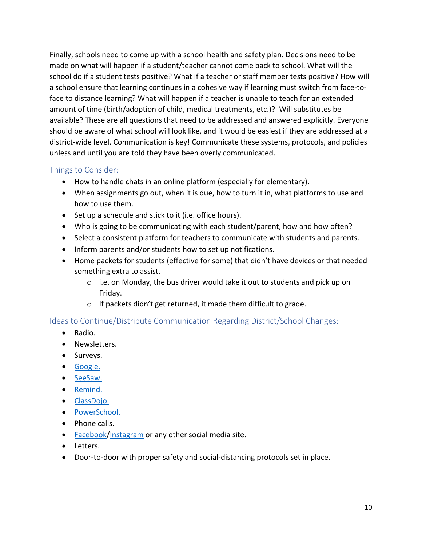Finally, schools need to come up with a school health and safety plan. Decisions need to be amount of time (birth/adoption of child, medical treatments, etc.)? Will substitutes be available? These are all questions that need to be addressed and answered explicitly. Everyone unless and until you are told they have been overly communicated. made on what will happen if a student/teacher cannot come back to school. What will the school do if a student tests positive? What if a teacher or staff member tests positive? How will a school ensure that learning continues in a cohesive way if learning must switch from face-toface to distance learning? What will happen if a teacher is unable to teach for an extended should be aware of what school will look like, and it would be easiest if they are addressed at a district-wide level. Communication is key! Communicate these systems, protocols, and policies

### Things to Consider:

- How to handle chats in an online platform (especially for elementary).
- • When assignments go out, when it is due, how to turn it in, what platforms to use and how to use them.
- Set up a schedule and stick to it (i.e. office hours).
- Who is going to be communicating with each student/parent, how and how often?
- Select a consistent platform for teachers to communicate with students and parents.
- Inform parents and/or students how to set up notifications.
- Home packets for students (effective for some) that didn't have devices or that needed something extra to assist.
	- $\circ$  i.e. on Monday, the bus driver would take it out to students and pick up on Friday.
	- $\circ$  If packets didn't get returned, it made them difficult to grade.

# Ideas to Continue/Distribute Communication Regarding District/School Changes:

- Radio.
- Newsletters.
- Surveys.
- [Google.](https://accounts.google.com/ServiceLogin/identifier?service=classroom&passive=1209600&continue=https%3A%2F%2Fclassroom.google.com%2F&followup=https%3A%2F%2Fclassroom.google.com%2F&emr=1&flowName=GlifWebSignIn&flowEntry=AddSession)
- [SeeSaw.](https://web.seesaw.me/)
- [Remind.](https://www.remind.com/)
- [ClassDojo.](https://www.classdojo.com/)
- [PowerSchool.](https://www.powerschool.com/)
- Phone calls.
- [Facebook](https://www.facebook.com/)[/Instagram](https://www.instagram.com/) or any other social media site.
- Letters.
- Door-to-door with proper safety and social-distancing protocols set in place.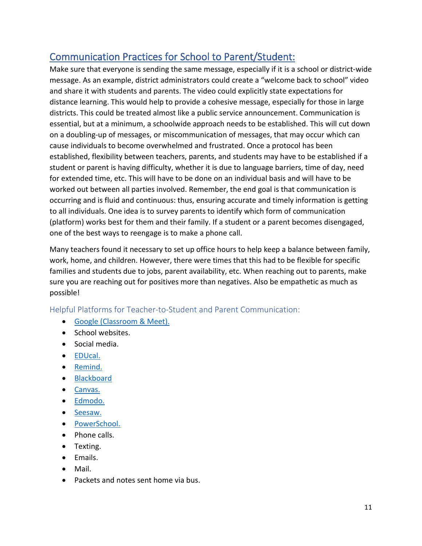# Communication Practices for School to Parent/Student:

 and share it with students and parents. The video could explicitly state expectations for distance learning. This would help to provide a cohesive message, especially for those in large essential, but at a minimum, a schoolwide approach needs to be established. This will cut down for extended time, etc. This will have to be done on an individual basis and will have to be worked out between all parties involved. Remember, the end goal is that communication is (platform) works best for them and their family. If a student or a parent becomes disengaged, Make sure that everyone is sending the same message, especially if it is a school or district-wide message. As an example, district administrators could create a "welcome back to school" video districts. This could be treated almost like a public service announcement. Communication is on a doubling-up of messages, or miscommunication of messages, that may occur which can cause individuals to become overwhelmed and frustrated. Once a protocol has been established, flexibility between teachers, parents, and students may have to be established if a student or parent is having difficulty, whether it is due to language barriers, time of day, need occurring and is fluid and continuous: thus, ensuring accurate and timely information is getting to all individuals. One idea is to survey parents to identify which form of communication one of the best ways to reengage is to make a phone call.

 work, home, and children. However, there were times that this had to be flexible for specific families and students due to jobs, parent availability, etc. When reaching out to parents, make Many teachers found it necessary to set up office hours to help keep a balance between family, sure you are reaching out for positives more than negatives. Also be empathetic as much as possible!

Helpful Platforms for Teacher-to-Student and Parent Communication:

- [Google \(Classroom & Meet\).](https://accounts.google.com/ServiceLogin/identifier?service=classroom&passive=1209600&continue=https%3A%2F%2Fclassroom.google.com%2F&followup=https%3A%2F%2Fclassroom.google.com%2F&emr=1&flowName=GlifWebSignIn&flowEntry=AddSession)
- School websites.
- Social media.
- [EDUcal.](https://educalonline.com/)
- [Remind.](https://www.remind.com/)
- [Blackboard](https://www.blackboard.com/)
- [Canvas.](https://canvas.instructure.com/login/canvas)
- [Edmodo.](https://new.edmodo.com/?go2url=/home)
- [Seesaw.](https://web.seesaw.me/)
- [PowerSchool.](https://www.powerschool.com/)
- Phone calls.
- Texting.
- Emails.
- Mail.
- Packets and notes sent home via bus.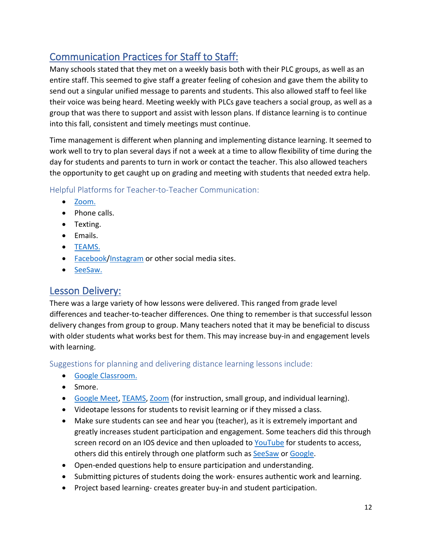# Communication Practices for Staff to Staff:

 Many schools stated that they met on a weekly basis both with their PLC groups, as well as an entire staff. This seemed to give staff a greater feeling of cohesion and gave them the ability to send out a singular unified message to parents and students. This also allowed staff to feel like their voice was being heard. Meeting weekly with PLCs gave teachers a social group, as well as a group that was there to support and assist with lesson plans. If distance learning is to continue into this fall, consistent and timely meetings must continue.

 work well to try to plan several days if not a week at a time to allow flexibility of time during the Time management is different when planning and implementing distance learning. It seemed to day for students and parents to turn in work or contact the teacher. This also allowed teachers the opportunity to get caught up on grading and meeting with students that needed extra help.

Helpful Platforms for Teacher-to-Teacher Communication:

- [Zoom.](https://zoom.us/)
- Phone calls.
- Texting.
- Emails.
- [TEAMS.](https://teams.microsoft.com/uswe-01/downloads)
- [Facebook](https://www.facebook.com/)[/Instagram](https://www.instagram.com/) or other social media sites.
- [SeeSaw.](https://web.seesaw.me/)

# Lesson Delivery:

 differences and teacher-to-teacher differences. One thing to remember is that successful lesson delivery changes from group to group. Many teachers noted that it may be beneficial to discuss with older students what works best for them. This may increase buy-in and engagement levels with learning. There was a large variety of how lessons were delivered. This ranged from grade level

Suggestions for planning and delivering distance learning lessons include:

- [Google Classroom.](https://accounts.google.com/ServiceLogin/identifier?service=classroom&passive=1209600&continue=https%3A%2F%2Fclassroom.google.com%2F&followup=https%3A%2F%2Fclassroom.google.com%2F&emr=1&flowName=GlifWebSignIn&flowEntry=AddSession)
- Smore.
- [Google Meet,](https://accounts.google.com/ServiceLogin/identifier?service=classroom&passive=1209600&continue=https%3A%2F%2Fclassroom.google.com%2F&followup=https%3A%2F%2Fclassroom.google.com%2F&emr=1&flowName=GlifWebSignIn&flowEntry=AddSession) [TEAMS,](https://teams.microsoft.com/uswe-01/downloads) [Zoom](https://zoom.us/) (for instruction, small group, and individual learning).
- Videotape lessons for students to revisit learning or if they missed a class.
- • Make sure students can see and hear you (teacher), as it is extremely important and others did this entirely through one platform such as [SeeSaw](https://web.seesaw.me/) or [Google.](https://accounts.google.com/ServiceLogin/identifier?service=classroom&passive=1209600&continue=https%3A%2F%2Fclassroom.google.com%2F&followup=https%3A%2F%2Fclassroom.google.com%2F&emr=1&flowName=GlifWebSignIn&flowEntry=AddSession) greatly increases student participation and engagement. Some teachers did this through screen record on an IOS device and then uploaded to [YouTube](https://www.youtube.com/) for students to access,
- Open-ended questions help to ensure participation and understanding.
- Submitting pictures of students doing the work- ensures authentic work and learning.
- Project based learning- creates greater buy-in and student participation.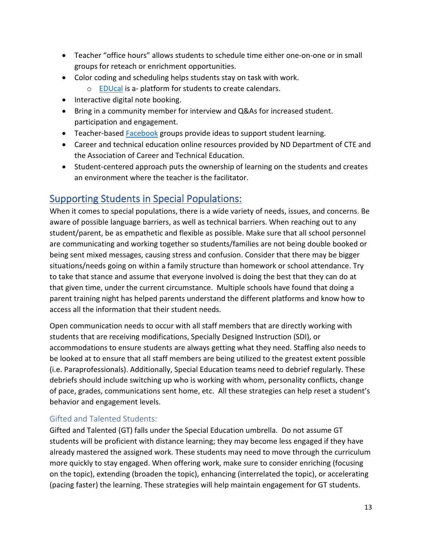- • Teacher "office hours" allows students to schedule time either one-on-one or in small groups for reteach or enrichment opportunities.
- Color coding and scheduling helps students stay on task with work.
	- o **EDUcal** is a- platform for students to create calendars.
- Interactive digital note booking.
- Bring in a community member for interview and Q&As for increased student. participation and engagement.
- Teacher-based [Facebook](https://www.facebook.com/) groups provide ideas to support student learning.
- Career and technical education online resources provided by ND Department of CTE and the Association of Career and Technical Education.
- • Student-centered approach puts the ownership of learning on the students and creates an environment where the teacher is the facilitator.

# Supporting Students in Special Populations:

 are communicating and working together so students/families are not being double booked or being sent mixed messages, causing stress and confusion. Consider that there may be bigger that given time, under the current circumstance. Multiple schools have found that doing a When it comes to special populations, there is a wide variety of needs, issues, and concerns. Be aware of possible language barriers, as well as technical barriers. When reaching out to any student/parent, be as empathetic and flexible as possible. Make sure that all school personnel situations/needs going on within a family structure than homework or school attendance. Try to take that stance and assume that everyone involved is doing the best that they can do at parent training night has helped parents understand the different platforms and know how to access all the information that their student needs.

 students that are receiving modifications, Specially Designed Instruction (SDI), or accommodations to ensure students are always getting what they need. Staffing also needs to be looked at to ensure that all staff members are being utilized to the greatest extent possible (i.e. Paraprofessionals). Additionally, Special Education teams need to debrief regularly. These debriefs should include switching up who is working with whom, personality conflicts, change of pace, grades, communications sent home, etc. All these strategies can help reset a student's behavior and engagement levels. Open communication needs to occur with all staff members that are directly working with

# Gifted and Talented Students:

 Gifted and Talented (GT) falls under the Special Education umbrella. Do not assume GT more quickly to stay engaged. When offering work, make sure to consider enriching (focusing on the topic), extending (broaden the topic), enhancing (interrelated the topic), or accelerating (pacing faster) the learning. These strategies will help maintain engagement for GT students. students will be proficient with distance learning; they may become less engaged if they have already mastered the assigned work. These students may need to move through the curriculum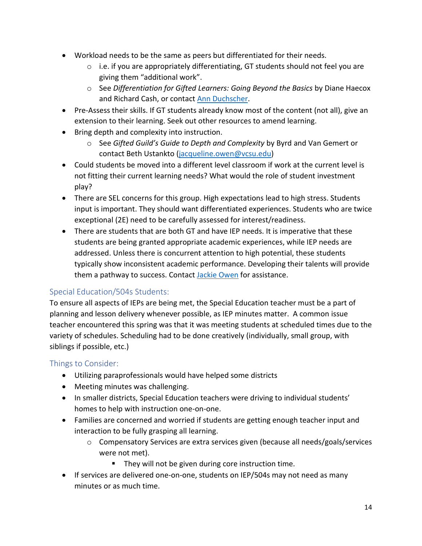- • Workload needs to be the same as peers but differentiated for their needs.
	- $\circ$  i.e. if you are appropriately differentiating, GT students should not feel you are giving them "additional work".
	- and Richard Cash, or contact [Ann Duchscher.](mailto:duchscs@fargo.k12.nd.us) o See *Differentiation for Gifted Learners: Going Beyond the Basics* by Diane Haecox
- Pre-Assess their skills. If GT students already know most of the content (not all), give an extension to their learning. Seek out other resources to amend learning.
- • Bring depth and complexity into instruction.
	- o See *Gifted Guild's Guide to Depth and Complexity* by Byrd and Van Gemert or contact Beth Ustankto [\(jacqueline.owen@vcsu.edu\)](mailto:jacqueline.owen@vcsu.edu)
- Could students be moved into a different level classroom if work at the current level is not fitting their current learning needs? What would the role of student investment play?
- • There are SEL concerns for this group. High expectations lead to high stress. Students input is important. They should want differentiated experiences. Students who are twice exceptional (2E) need to be carefully assessed for interest/readiness.
- • There are students that are both GT and have IEP needs. It is imperative that these students are being granted appropriate academic experiences, while IEP needs are them a pathway to success. Contact [Jackie Owen](mailto:jackie@ndgiftedchildren.org) for assistance. addressed. Unless there is concurrent attention to high potential, these students typically show inconsistent academic performance. Developing their talents will provide

# Special Education/504s Students:

 To ensure all aspects of IEPs are being met, the Special Education teacher must be a part of planning and lesson delivery whenever possible, as IEP minutes matter. A common issue teacher encountered this spring was that it was meeting students at scheduled times due to the variety of schedules. Scheduling had to be done creatively (individually, small group, with siblings if possible, etc.)

# Things to Consider:

- Utilizing paraprofessionals would have helped some districts
- Meeting minutes was challenging.
- In smaller districts, Special Education teachers were driving to individual students' homes to help with instruction one-on-one.
- Families are concerned and worried if students are getting enough teacher input and interaction to be fully grasping all learning.
	- o Compensatory Services are extra services given (because all needs/goals/services were not met).
		- **They will not be given during core instruction time.**
- If services are delivered one-on-one, students on IEP/504s may not need as many minutes or as much time.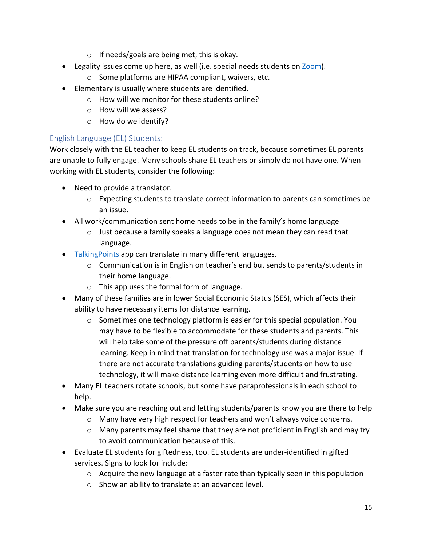- o If needs/goals are being met, this is okay.
- Legality issues come up here, as well (i.e. special needs students on [Zoom\)](https://zoom.us/).
	- o Some platforms are HIPAA compliant, waivers, etc.
- • Elementary is usually where students are identified.
	- o How will we monitor for these students online?
	- o How will we assess?
	- o How do we identify?

# English Language (EL) Students:

 Work closely with the EL teacher to keep EL students on track, because sometimes EL parents are unable to fully engage. Many schools share EL teachers or simply do not have one. When working with EL students, consider the following:

- Need to provide a translator.
	- o Expecting students to translate correct information to parents can sometimes be an issue.
- • All work/communication sent home needs to be in the family's home language
	- $\circ$  Just because a family speaks a language does not mean they can read that language.
- [TalkingPoints](https://talkingpts.org/) app can translate in many different languages.
	- o Communication is in English on teacher's end but sends to parents/students in their home language.
	- o This app uses the formal form of language.
- • Many of these families are in lower Social Economic Status (SES), which affects their ability to have necessary items for distance learning.
	- may have to be flexible to accommodate for these students and parents. This will help take some of the pressure off parents/students during distance there are not accurate translations guiding parents/students on how to use technology, it will make distance learning even more difficult and frustrating.  $\circ$  Sometimes one technology platform is easier for this special population. You learning. Keep in mind that translation for technology use was a major issue. If
- Many EL teachers rotate schools, but some have paraprofessionals in each school to help.
- • Make sure you are reaching out and letting students/parents know you are there to help
	- o Many have very high respect for teachers and won't always voice concerns.
	- $\circ$  Many parents may feel shame that they are not proficient in English and may try to avoid communication because of this.
- • Evaluate EL students for giftedness, too. EL students are under-identified in gifted services. Signs to look for include:
	- $\circ$  Acquire the new language at a faster rate than typically seen in this population
	- o Show an ability to translate at an advanced level.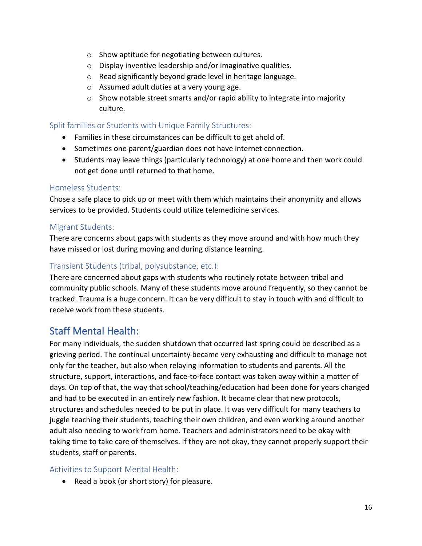- $\circ$  Show aptitude for negotiating between cultures.
- o Display inventive leadership and/or imaginative qualities.
- o Read significantly beyond grade level in heritage language.
- o Assumed adult duties at a very young age.
- culture. o Show notable street smarts and/or rapid ability to integrate into majority

### Split families or Students with Unique Family Structures:

- Families in these circumstances can be difficult to get ahold of.
- Sometimes one parent/guardian does not have internet connection.
- Students may leave things (particularly technology) at one home and then work could not get done until returned to that home.

### Homeless Students:

 services to be provided. Students could utilize telemedicine services. Chose a safe place to pick up or meet with them which maintains their anonymity and allows

### Migrant Students:

 There are concerns about gaps with students as they move around and with how much they have missed or lost during moving and during distance learning.

### Transient Students (tribal, polysubstance, etc.):

There are concerned about gaps with students who routinely rotate between tribal and community public schools. Many of these students move around frequently, so they cannot be tracked. Trauma is a huge concern. It can be very difficult to stay in touch with and difficult to receive work from these students.

# Staff Mental Health:

 For many individuals, the sudden shutdown that occurred last spring could be described as a grieving period. The continual uncertainty became very exhausting and difficult to manage not days. On top of that, the way that school/teaching/education had been done for years changed structures and schedules needed to be put in place. It was very difficult for many teachers to adult also needing to work from home. Teachers and administrators need to be okay with taking time to take care of themselves. If they are not okay, they cannot properly support their only for the teacher, but also when relaying information to students and parents. All the structure, support, interactions, and face-to-face contact was taken away within a matter of and had to be executed in an entirely new fashion. It became clear that new protocols, juggle teaching their students, teaching their own children, and even working around another students, staff or parents.

### Activities to Support Mental Health:

• Read a book (or short story) for pleasure.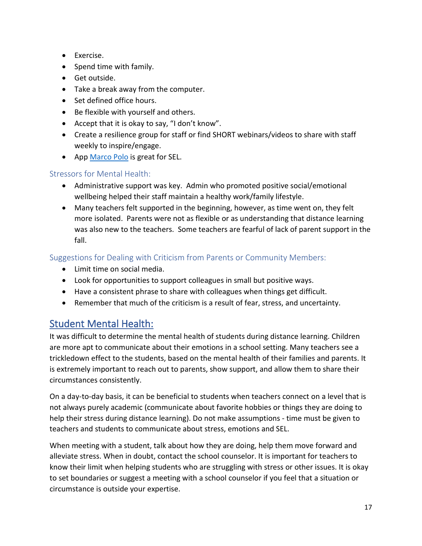- Exercise.
- Spend time with family.
- Get outside.
- Take a break away from the computer.
- Set defined office hours.
- Be flexible with yourself and others.
- Accept that it is okay to say, "I don't know".
- • Create a resilience group for staff or find SHORT webinars/videos to share with staff weekly to inspire/engage.
- App [Marco Polo](https://www.marcopolo.me/download/) is great for SEL.

# Stressors for Mental Health:

- • Administrative support was key. Admin who promoted positive social/emotional wellbeing helped their staff maintain a healthy work/family lifestyle.
- • Many teachers felt supported in the beginning, however, as time went on, they felt more isolated. Parents were not as flexible or as understanding that distance learning was also new to the teachers. Some teachers are fearful of lack of parent support in the fall.

Suggestions for Dealing with Criticism from Parents or Community Members:

- Limit time on social media.
- Look for opportunities to support colleagues in small but positive ways.
- Have a consistent phrase to share with colleagues when things get difficult.
- Remember that much of the criticism is a result of fear, stress, and uncertainty.

# Student Mental Health:

 trickledown effect to the students, based on the mental health of their families and parents. It is extremely important to reach out to parents, show support, and allow them to share their It was difficult to determine the mental health of students during distance learning. Children are more apt to communicate about their emotions in a school setting. Many teachers see a circumstances consistently.

 not always purely academic (communicate about favorite hobbies or things they are doing to help their stress during distance learning). Do not make assumptions - time must be given to On a day-to-day basis, it can be beneficial to students when teachers connect on a level that is teachers and students to communicate about stress, emotions and SEL.

 alleviate stress. When in doubt, contact the school counselor. It is important for teachers to know their limit when helping students who are struggling with stress or other issues. It is okay to set boundaries or suggest a meeting with a school counselor if you feel that a situation or circumstance is outside your expertise. When meeting with a student, talk about how they are doing, help them move forward and